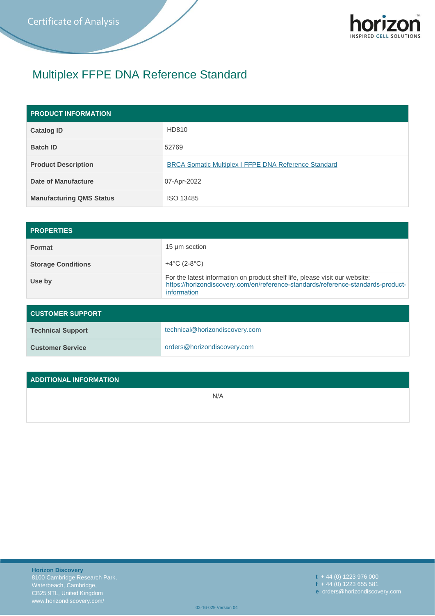

# Multiplex FFPE DNA Reference Standard

| <b>PRODUCT INFORMATION</b>      |                                                             |  |  |  |
|---------------------------------|-------------------------------------------------------------|--|--|--|
| <b>Catalog ID</b>               | HD810                                                       |  |  |  |
| <b>Batch ID</b>                 | 52769                                                       |  |  |  |
| <b>Product Description</b>      | <b>BRCA Somatic Multiplex I FFPE DNA Reference Standard</b> |  |  |  |
| Date of Manufacture             | 07-Apr-2022                                                 |  |  |  |
| <b>Manufacturing QMS Status</b> | ISO 13485                                                   |  |  |  |

| <b>PROPERTIES</b>         |                                                                                                                                                                                |
|---------------------------|--------------------------------------------------------------------------------------------------------------------------------------------------------------------------------|
| <b>Format</b>             | 15 µm section                                                                                                                                                                  |
| <b>Storage Conditions</b> | $+4^{\circ}C(2-8^{\circ}C)$                                                                                                                                                    |
| Use by                    | For the latest information on product shelf life, please visit our website:<br>https://horizondiscovery.com/en/reference-standards/reference-standards-product-<br>information |

| <b>CUSTOMER SUPPORT</b>  |                                |  |  |  |
|--------------------------|--------------------------------|--|--|--|
| <b>Technical Support</b> | technical@horizondiscovery.com |  |  |  |
| <b>Customer Service</b>  | orders@horizondiscovery.com    |  |  |  |

### **ADDITIONAL INFORMATION**

N/A

**t** + 44 (0) 1223 976 000 **f** + 44 (0) 1223 655 581 **e** orders@horizondiscovery.com